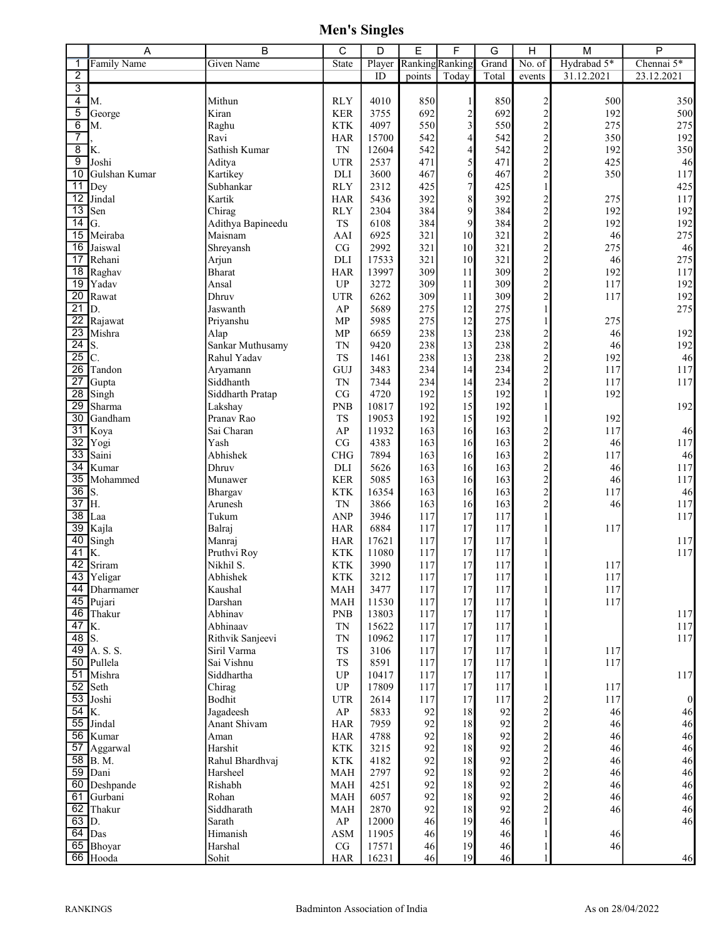|                                    | А                      | B                           | С                                    | D              | E               | F                        | G          | H                                                                                     | M           | P                |
|------------------------------------|------------------------|-----------------------------|--------------------------------------|----------------|-----------------|--------------------------|------------|---------------------------------------------------------------------------------------|-------------|------------------|
| 1                                  | <b>Family Name</b>     | <b>Given Name</b>           | State                                | Player         | Ranking Ranking |                          | Grand      | No. of                                                                                | Hydrabad 5* | Chennai 5*       |
| $\overline{2}$                     |                        |                             |                                      | ID             | points          | Today                    | Total      | events                                                                                | 31.12.2021  | 23.12.2021       |
| 3                                  |                        |                             |                                      |                |                 |                          |            |                                                                                       |             |                  |
| 4                                  | M.                     | Mithun                      | <b>RLY</b>                           | 4010           | 850             | $\mathbf{1}$             | 850        | $2$<br>$2$<br>$2$<br>$2$<br>$2$<br>$2$<br>$2$<br><br><br><br><br><br><br><br><br><br> | 500         | 350              |
| 5                                  | George                 | Kiran                       | $\operatorname{KER}$                 | 3755           | 692             | $\overline{2}$           | 692        |                                                                                       | 192         | 500              |
| 6                                  | М.                     | Raghu                       | <b>KTK</b>                           | 4097           | 550             | $\overline{3}$           | 550        |                                                                                       | 275         | 275              |
| $\overline{7}$                     |                        | Ravi                        | <b>HAR</b>                           | 15700          | 542             | $\overline{\mathcal{L}}$ | 542        |                                                                                       | 350         | 192              |
| $\overline{8}$                     | K.                     | Sathish Kumar               | <b>TN</b>                            | 12604          | 542             | 4                        | 542        |                                                                                       | 192         | 350              |
| $\overline{9}$<br>$\overline{10}$  | Joshi<br>Gulshan Kumar | Aditya<br>Kartikey          | <b>UTR</b><br>DLI                    | 2537<br>3600   | 471<br>467      | $\mathfrak{S}$<br>6      | 471<br>467 |                                                                                       | 425<br>350  | 46<br>117        |
| $\overline{11}$                    | Dey                    | Subhankar                   | <b>RLY</b>                           | 2312           | 425             | $\overline{7}$           | 425        |                                                                                       |             | 425              |
| $\overline{12}$                    | Jindal                 | Kartik                      | <b>HAR</b>                           | 5436           | 392             | 8                        | 392        |                                                                                       | 275         | 117              |
| $\overline{13}$                    | Sen                    | Chirag                      | <b>RLY</b>                           | 2304           | 384             | $\overline{9}$           | 384        |                                                                                       | 192         | 192              |
| $\overline{14}$                    | G.                     | Adithya Bapineedu           | TS                                   | 6108           | 384             | $\overline{9}$           | 384        |                                                                                       | 192         | 192              |
| $\overline{15}$                    | Meiraba                | Maisnam                     | AAI                                  | 6925           | 321             | 10 <sup>1</sup>          | 321        | 2<br>2<br>2<br>2<br>2<br>2<br>2<br>2<br>2<br>2<br>2<br>2<br>2                         | 46          | 275              |
| $\overline{16}$                    | Jaiswal                | Shreyansh                   | $\rm CG$                             | 2992           | 321             | 10 <sup>1</sup>          | 321        |                                                                                       | 275         | 46               |
| $\overline{17}$                    | Rehani                 | Arjun                       | DLI                                  | 17533          | 321             | 10 <sup>1</sup>          | 321        |                                                                                       | 46          | 275              |
| $\overline{18}$                    | Raghav                 | <b>Bharat</b>               | <b>HAR</b>                           | 13997          | 309             | 11                       | 309        |                                                                                       | 192         | 117              |
| $\overline{19}$                    | Yadav                  | Ansal                       | <b>UP</b>                            | 3272           | 309             | 11                       | 309        |                                                                                       | 117         | 192              |
| 20                                 | Rawat                  | Dhruv                       | <b>UTR</b>                           | 6262           | 309             | 11                       | 309        |                                                                                       | 117         | 192              |
| $\overline{21}$                    | D.                     | Jaswanth                    | AP                                   | 5689           | 275             | 12                       | 275        | $\,1$                                                                                 |             | 275              |
| $\overline{22}$                    | Rajawat                | Priyanshu                   | MP                                   | 5985           | 275             | 12                       | 275        | $\mathbf{1}$                                                                          | 275         |                  |
| $\overline{23}$                    | Mishra                 | Alap                        | MP                                   | 6659           | 238             | 13                       | 238        | $\begin{array}{c} 2 \\ 2 \\ 2 \\ 2 \end{array}$                                       | 46          | 192              |
| $\overline{24}$                    | S.                     | Sankar Muthusamy            | <b>TN</b>                            | 9420           | 238             | 13                       | 238        |                                                                                       | 46          | 192              |
| $\overline{25}$                    | $\overline{C}$ .       | Rahul Yadav                 | <b>TS</b>                            | 1461           | 238             | 13                       | 238        |                                                                                       | 192         | 46               |
| 26                                 | Tandon                 | Aryamann                    | GUJ                                  | 3483           | 234             | 14                       | 234        |                                                                                       | 117         | 117              |
| $\overline{27}$<br>$\overline{28}$ | Gupta                  | Siddhanth                   | <b>TN</b>                            | 7344           | 234             | 14                       | 234        |                                                                                       | 117         | 117              |
| 29                                 | Singh<br>Sharma        | Siddharth Pratap<br>Lakshay | CG<br><b>PNB</b>                     | 4720<br>10817  | 192<br>192      | 15<br>15                 | 192<br>192 | $\mathbf{1}$                                                                          | 192         | 192              |
| $\overline{30}$                    | Gandham                | Pranav Rao                  | <b>TS</b>                            | 19053          | 192             | 15                       | 192        | $\mathbf{1}$                                                                          | 192         |                  |
| $\overline{31}$                    | Koya                   | Sai Charan                  | AP                                   | 11932          | 163             | 16                       | 163        |                                                                                       | 117         | 46               |
| $\overline{32}$                    | Yogi                   | Yash                        | CG                                   | 4383           | 163             | 16                       | 163        |                                                                                       | 46          | 117              |
| $\overline{33}$                    | Saini                  | Abhishek                    | <b>CHG</b>                           | 7894           | 163             | 16                       | 163        |                                                                                       | 117         | 46               |
| $\overline{34}$                    | Kumar                  | Dhruv                       | DLI                                  | 5626           | 163             | 16                       | 163        | $2$<br>$2$<br>$2$<br>$2$<br>$2$<br>$2$<br>$2$                                         | 46          | 117              |
| $\overline{35}$                    | Mohammed               | Munawer                     | <b>KER</b>                           | 5085           | 163             | 16                       | 163        |                                                                                       | 46          | 117              |
| 36                                 | S.                     | Bhargav                     | <b>KTK</b>                           | 16354          | 163             | 16                       | 163        |                                                                                       | 117         | 46               |
| $\overline{37}$                    | Η.                     | Arunesh                     | <b>TN</b>                            | 3866           | 163             | 16                       | 163        |                                                                                       | 46          | 117              |
| $\overline{38}$                    | Laa                    | Tukum                       | <b>ANP</b>                           | 3946           | 117             | 17                       | 117        | $\mathbf{1}$                                                                          |             | 117              |
| $\overline{39}$                    | Kajla                  | Balraj                      | <b>HAR</b>                           | 6884           | 117             | 17                       | 117        | 1                                                                                     | 117         |                  |
| 40                                 | Singh                  | Manraj                      | <b>HAR</b>                           | 17621          | 117             | 17                       | 117        |                                                                                       |             | 117              |
| 41                                 | K.                     | Pruthvi Roy                 | <b>KTK</b>                           | 11080          | 117             | 17                       | 117        |                                                                                       |             | 117              |
| 42                                 | Sriram                 | Nikhil S.                   | <b>KTK</b>                           | 3990           | 117             | 17                       | 117        | $\mathbf{1}$                                                                          | 117         |                  |
| 43                                 | Yeligar                | Abhishek                    | <b>KTK</b>                           | 3212           | 117             | 17                       | 117        |                                                                                       | 117         |                  |
| 44                                 | Dharmamer              | Kaushal                     | $\it{MAH}$                           | 3477           | 117             | 17                       | 117        | $\mathbf{1}$                                                                          | 117<br>117  |                  |
| 45                                 | Pujari                 | Darshan<br>Abhinav          | MAH                                  | 11530          | 117             | 17                       | 117<br>117 | $\mathbf{1}$                                                                          |             |                  |
| 46<br>47                           | Thakur<br>K.           | Abhinaav                    | <b>PNB</b><br><b>TN</b>              | 13803<br>15622 | 117<br>117      | 17<br>17                 | 117        |                                                                                       |             | 117<br>117       |
| $\overline{48}$ S.                 |                        | Rithvik Sanjeevi            | <b>TN</b>                            | 10962          | 117             | 17                       | 117        | 1                                                                                     |             | 117              |
| 49                                 | A. S. S.               | Siril Varma                 | <b>TS</b>                            | 3106           | 117             | 17                       | 117        |                                                                                       | 117         |                  |
| $\overline{50}$                    | Pullela                | Sai Vishnu                  | ${\rm TS}$                           | 8591           | 117             | 17                       | 117        |                                                                                       | 117         |                  |
| 51                                 | Mishra                 | Siddhartha                  | <b>UP</b>                            | 10417          | 117             | 17                       | 117        | $\mathbf{1}$                                                                          |             | 117              |
| 52                                 | Seth                   | Chirag                      | $\ensuremath{\mathsf{UP}}$           | 17809          | 117             | 17                       | 117        | $\mathbf{1}$                                                                          | 117         |                  |
| 53                                 | Joshi                  | Bodhit                      | <b>UTR</b>                           | 2614           | 117             | 17                       | 117        |                                                                                       | 117         | $\boldsymbol{0}$ |
| 54                                 | Κ.                     | Jagadeesh                   | AP                                   | 5833           | 92              | 18                       | 92         | $222222222$                                                                           | 46          | 46               |
| 55                                 | Jindal                 | <b>Anant Shivam</b>         | <b>HAR</b>                           | 7959           | 92              | 18                       | 92         |                                                                                       | 46          | 46               |
| $\overline{56}$                    | Kumar                  | Aman                        | <b>HAR</b>                           | 4788           | 92              | 18                       | 92         |                                                                                       | 46          | 46               |
| 57                                 | Aggarwal               | Harshit                     | <b>KTK</b>                           | 3215           | 92              | 18                       | 92         |                                                                                       | 46          | 46               |
| $\overline{58}$                    | <b>B.</b> M.           | Rahul Bhardhvaj             | <b>KTK</b>                           | 4182           | 92              | 18                       | 92         |                                                                                       | 46          | 46               |
| 59                                 | Dani                   | Harsheel                    | $\it{MAH}$                           | 2797           | 92              | 18                       | 92         |                                                                                       | 46          | 46               |
| 60                                 | Deshpande              | Rishabh                     | MAH                                  | 4251           | 92              | 18                       | 92         |                                                                                       | 46          | 46               |
| 61                                 | Gurbani                | Rohan                       | <b>MAH</b>                           | 6057           | 92              | 18                       | 92         |                                                                                       | 46          | 46               |
| 62                                 | Thakur                 | Siddharath                  | MAH                                  | 2870           | 92              | 18                       | 92         |                                                                                       | 46          | 46               |
| 63<br>64                           | D.                     | Sarath                      | ${\sf AP}$                           | 12000          | 46              | 19                       | 46         | $\,1\,$                                                                               |             | 46               |
| 65                                 | Das                    | Himanish                    | $\mathbf{ASM}$                       | 11905          | 46              | 19                       | 46         | 1                                                                                     | 46<br>46    |                  |
| 66                                 | Bhoyar<br>Hooda        | Harshal<br>Sohit            | $\mathbf{C}\mathbf{G}$<br><b>HAR</b> | 17571<br>16231 | 46<br>46        | 19<br>19                 | 46<br>46   | 1                                                                                     |             | 46               |
|                                    |                        |                             |                                      |                |                 |                          |            |                                                                                       |             |                  |